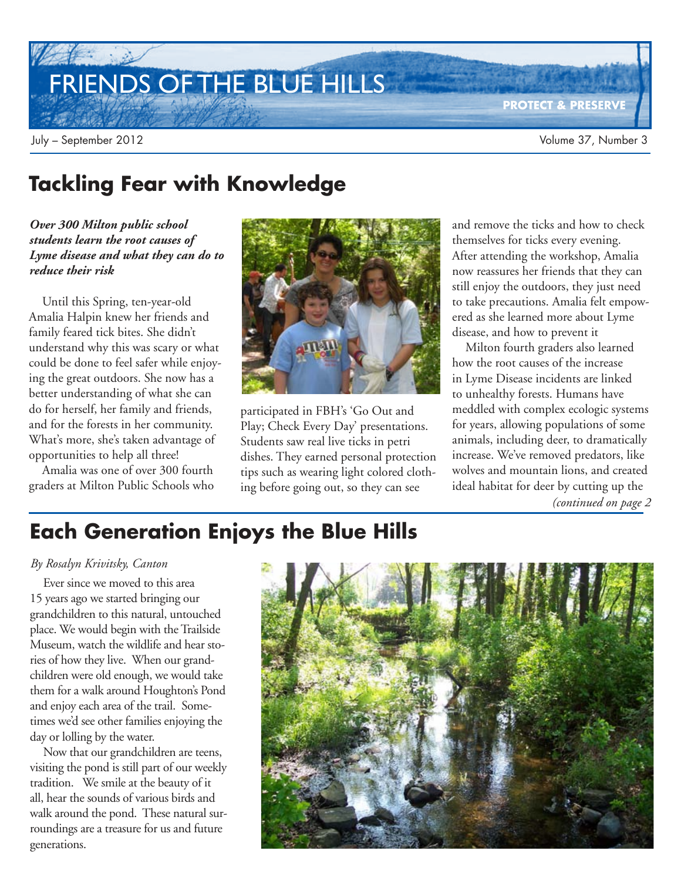## FRIENDS OF THE BLUE HILLS

**PROTECT & PRESERVE**

### **Tackling Fear with Knowledge**

*Over 300 Milton public school students learn the root causes of Lyme disease and what they can do to reduce their risk*

Until this Spring, ten-year-old Amalia Halpin knew her friends and family feared tick bites. She didn't understand why this was scary or what could be done to feel safer while enjoying the great outdoors. She now has a better understanding of what she can do for herself, her family and friends, and for the forests in her community. What's more, she's taken advantage of opportunities to help all three!

Amalia was one of over 300 fourth graders at Milton Public Schools who



participated in FBH's 'Go Out and Play; Check Every Day' presentations. Students saw real live ticks in petri dishes. They earned personal protection tips such as wearing light colored clothing before going out, so they can see

and remove the ticks and how to check themselves for ticks every evening. After attending the workshop, Amalia now reassures her friends that they can still enjoy the outdoors, they just need to take precautions. Amalia felt empowered as she learned more about Lyme disease, and how to prevent it

Milton fourth graders also learned how the root causes of the increase in Lyme Disease incidents are linked to unhealthy forests. Humans have meddled with complex ecologic systems for years, allowing populations of some animals, including deer, to dramatically increase. We've removed predators, like wolves and mountain lions, and created ideal habitat for deer by cutting up the *(continued on page 2*

## **Each Generation Enjoys the Blue Hills**

#### *By Rosalyn Krivitsky, Canton*

Ever since we moved to this area 15 years ago we started bringing our grandchildren to this natural, untouched place. We would begin with the Trailside Museum, watch the wildlife and hear stories of how they live. When our grandchildren were old enough, we would take them for a walk around Houghton's Pond and enjoy each area of the trail. Sometimes we'd see other families enjoying the day or lolling by the water.

Now that our grandchildren are teens, visiting the pond is still part of our weekly tradition. We smile at the beauty of it all, hear the sounds of various birds and walk around the pond. These natural surroundings are a treasure for us and future generations.

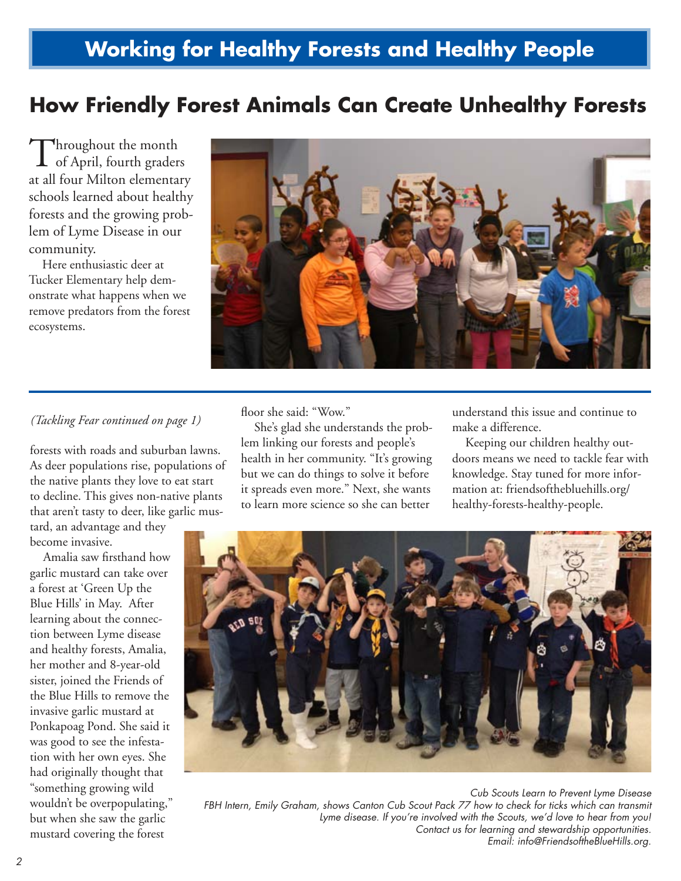## **Working for Healthy Forests and Healthy People**

### **How Friendly Forest Animals Can Create Unhealthy Forests**

Throughout the month<br>of April, fourth grader. **L** of April, fourth graders at all four Milton elementary schools learned about healthy forests and the growing problem of Lyme Disease in our community.

Here enthusiastic deer at Tucker Elementary help demonstrate what happens when we remove predators from the forest ecosystems.



#### *(Tackling Fear continued on page 1)*

forests with roads and suburban lawns. As deer populations rise, populations of the native plants they love to eat start to decline. This gives non-native plants that aren't tasty to deer, like garlic mus-

tard, an advantage and they become invasive.

Amalia saw firsthand how garlic mustard can take over a forest at 'Green Up the Blue Hills' in May. After learning about the connection between Lyme disease and healthy forests, Amalia, her mother and 8-year-old sister, joined the Friends of the Blue Hills to remove the invasive garlic mustard at Ponkapoag Pond. She said it was good to see the infestation with her own eyes. She had originally thought that "something growing wild wouldn't be overpopulating," but when she saw the garlic mustard covering the forest

floor she said: "Wow."

She's glad she understands the problem linking our forests and people's health in her community. "It's growing but we can do things to solve it before it spreads even more." Next, she wants to learn more science so she can better

understand this issue and continue to make a difference.

Keeping our children healthy outdoors means we need to tackle fear with knowledge. Stay tuned for more information at: friendsofthebluehills.org/ healthy-forests-healthy-people.



*Cub Scouts Learn to Prevent Lyme Disease* FBH Intern, Emily Graham, shows Canton Cub Scout Pack 77 how to check for ticks which can transmit *Lyme disease. If you're involved with the Scouts, we'd love to hear from you! Contact us for learning and stewardship opportunities. Email: info@FriendsoftheBlueHills.org.*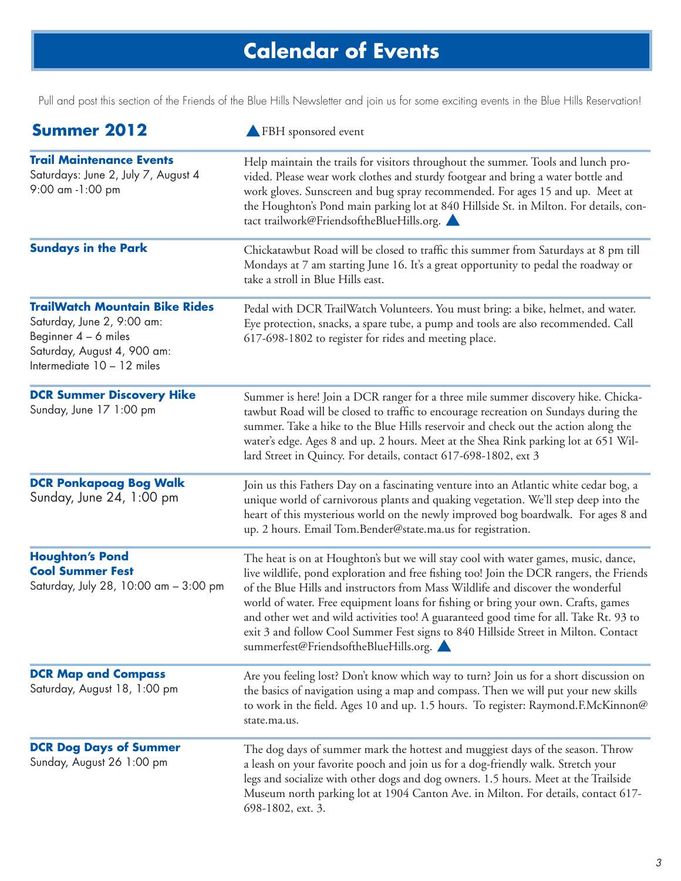## **Calendar of Events**

Pull and post this section of the Friends of the Blue Hills Newsletter and join us for some exciting events in the Blue Hills Reservation!

| <b>Summer 2012</b>                                                                                                                                         | FBH sponsored event                                                                                                                                                                                                                                                                                                                                                                                                                                                                                                                                                           |
|------------------------------------------------------------------------------------------------------------------------------------------------------------|-------------------------------------------------------------------------------------------------------------------------------------------------------------------------------------------------------------------------------------------------------------------------------------------------------------------------------------------------------------------------------------------------------------------------------------------------------------------------------------------------------------------------------------------------------------------------------|
| <b>Trail Maintenance Events</b><br>Saturdays: June 2, July 7, August 4<br>9:00 am -1:00 pm                                                                 | Help maintain the trails for visitors throughout the summer. Tools and lunch pro-<br>vided. Please wear work clothes and sturdy footgear and bring a water bottle and<br>work gloves. Sunscreen and bug spray recommended. For ages 15 and up. Meet at<br>the Houghton's Pond main parking lot at 840 Hillside St. in Milton. For details, con-<br>tact trailwork@FriendsoftheBlueHills.org.                                                                                                                                                                                  |
| <b>Sundays in the Park</b>                                                                                                                                 | Chickatawbut Road will be closed to traffic this summer from Saturdays at 8 pm till<br>Mondays at 7 am starting June 16. It's a great opportunity to pedal the roadway or<br>take a stroll in Blue Hills east.                                                                                                                                                                                                                                                                                                                                                                |
| <b>TrailWatch Mountain Bike Rides</b><br>Saturday, June 2, 9:00 am:<br>Beginner $4 - 6$ miles<br>Saturday, August 4, 900 am:<br>Intermediate 10 - 12 miles | Pedal with DCR TrailWatch Volunteers. You must bring: a bike, helmet, and water.<br>Eye protection, snacks, a spare tube, a pump and tools are also recommended. Call<br>617-698-1802 to register for rides and meeting place.                                                                                                                                                                                                                                                                                                                                                |
| <b>DCR Summer Discovery Hike</b><br>Sunday, June 17 1:00 pm                                                                                                | Summer is here! Join a DCR ranger for a three mile summer discovery hike. Chicka-<br>tawbut Road will be closed to traffic to encourage recreation on Sundays during the<br>summer. Take a hike to the Blue Hills reservoir and check out the action along the<br>water's edge. Ages 8 and up. 2 hours. Meet at the Shea Rink parking lot at 651 Wil-<br>lard Street in Quincy. For details, contact 617-698-1802, ext 3                                                                                                                                                      |
| <b>DCR Ponkapoag Bog Walk</b><br>Sunday, June 24, 1:00 pm                                                                                                  | Join us this Fathers Day on a fascinating venture into an Atlantic white cedar bog, a<br>unique world of carnivorous plants and quaking vegetation. We'll step deep into the<br>heart of this mysterious world on the newly improved bog boardwalk. For ages 8 and<br>up. 2 hours. Email Tom.Bender@state.ma.us for registration.                                                                                                                                                                                                                                             |
| <b>Houghton's Pond</b><br><b>Cool Summer Fest</b><br>Saturday, July 28, 10:00 am - 3:00 pm                                                                 | The heat is on at Houghton's but we will stay cool with water games, music, dance,<br>live wildlife, pond exploration and free fishing too! Join the DCR rangers, the Friends<br>of the Blue Hills and instructors from Mass Wildlife and discover the wonderful<br>world of water. Free equipment loans for fishing or bring your own. Crafts, games<br>and other wet and wild activities too! A guaranteed good time for all. Take Rt. 93 to<br>exit 3 and follow Cool Summer Fest signs to 840 Hillside Street in Milton. Contact<br>summerfest@FriendsoftheBlueHills.org. |
| <b>DCR Map and Compass</b><br>Saturday, August 18, 1:00 pm                                                                                                 | Are you feeling lost? Don't know which way to turn? Join us for a short discussion on<br>the basics of navigation using a map and compass. Then we will put your new skills<br>to work in the field. Ages 10 and up. 1.5 hours. To register: Raymond.F.McKinnon@<br>state.ma.us.                                                                                                                                                                                                                                                                                              |
| <b>DCR Dog Days of Summer</b><br>Sunday, August 26 1:00 pm                                                                                                 | The dog days of summer mark the hottest and muggiest days of the season. Throw<br>a leash on your favorite pooch and join us for a dog-friendly walk. Stretch your<br>legs and socialize with other dogs and dog owners. 1.5 hours. Meet at the Trailside<br>Museum north parking lot at 1904 Canton Ave. in Milton. For details, contact 617-<br>698-1802, ext. 3.                                                                                                                                                                                                           |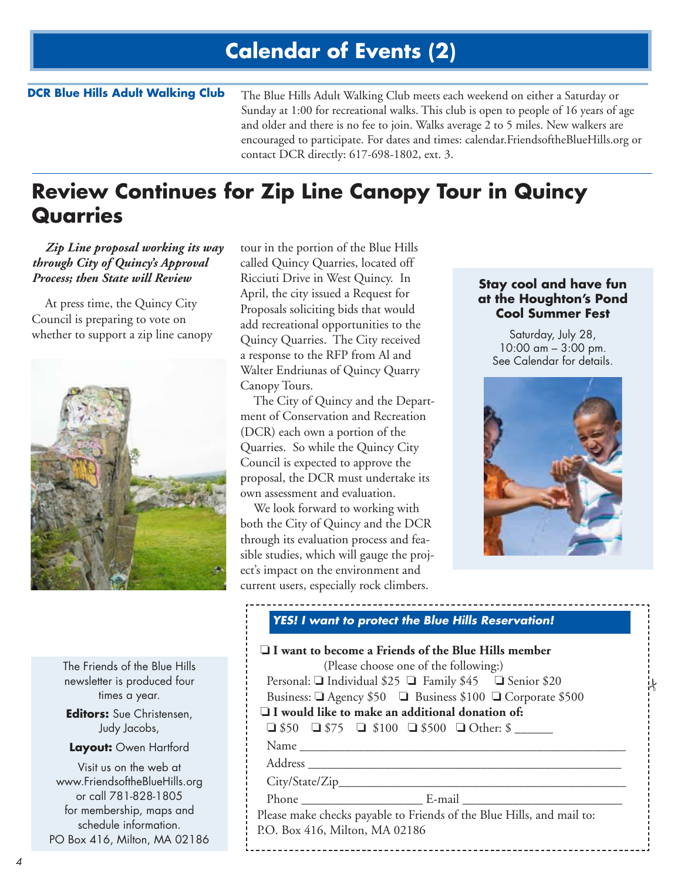### **Calendar of Events (2)**

#### **DCR Blue Hills Adult Walking Club**

The Blue Hills Adult Walking Club meets each weekend on either a Saturday or Sunday at 1:00 for recreational walks. This club is open to people of 16 years of age and older and there is no fee to join. Walks average 2 to 5 miles. New walkers are encouraged to participate. For dates and times: calendar.FriendsoftheBlueHills.org or contact DCR directly: 617-698-1802, ext. 3.

### **Review Continues for Zip Line Canopy Tour in Quincy Quarries**

*Zip Line proposal working its way through City of Quincy's Approval Process; then State will Review*

At press time, the Quincy City Council is preparing to vote on whether to support a zip line canopy



tour in the portion of the Blue Hills called Quincy Quarries, located off Ricciuti Drive in West Quincy. In April, the city issued a Request for Proposals soliciting bids that would add recreational opportunities to the Quincy Quarries. The City received a response to the RFP from Al and Walter Endriunas of Quincy Quarry Canopy Tours.

The City of Quincy and the Department of Conservation and Recreation (DCR) each own a portion of the Quarries. So while the Quincy City Council is expected to approve the proposal, the DCR must undertake its own assessment and evaluation.

We look forward to working with both the City of Quincy and the DCR through its evaluation process and feasible studies, which will gauge the project's impact on the environment and current users, especially rock climbers.

#### **Stay cool and have fun at the Houghton's Pond Cool Summer Fest**

Saturday, July 28, 10:00 am – 3:00 pm. See Calendar for details.



.<br>N

#### **YES! I want to protect the Blue Hills Reservation!**

| $\Box$ I want to become a Friends of the Blue Hills member<br>(Please choose one of the following:) |  |  |
|-----------------------------------------------------------------------------------------------------|--|--|
| Personal: ■ Individual \$25 ■ Family \$45 ■ Senior \$20                                             |  |  |
| Business: □ Agency \$50 □ Business \$100 □ Corporate \$500                                          |  |  |
| $\Box$ I would like to make an additional donation of:                                              |  |  |
| $\Box$ \$50 $\Box$ \$75 $\Box$ \$100 $\Box$ \$500 $\Box$ Other: \$                                  |  |  |
|                                                                                                     |  |  |
|                                                                                                     |  |  |
|                                                                                                     |  |  |
|                                                                                                     |  |  |
| Please make checks payable to Friends of the Blue Hills, and mail to:                               |  |  |
| P.O. Box 416, Milton, MA 02186                                                                      |  |  |
|                                                                                                     |  |  |

The Friends of the Blue Hills newsletter is produced four times a year.

**Editors:** Sue Christensen, Judy Jacobs,

**Layout:** Owen Hartford

Visit us on the web at www.FriendsoftheBlueHills.org or call 781-828-1805 for membership, maps and schedule information. PO Box 416, Milton, MA 02186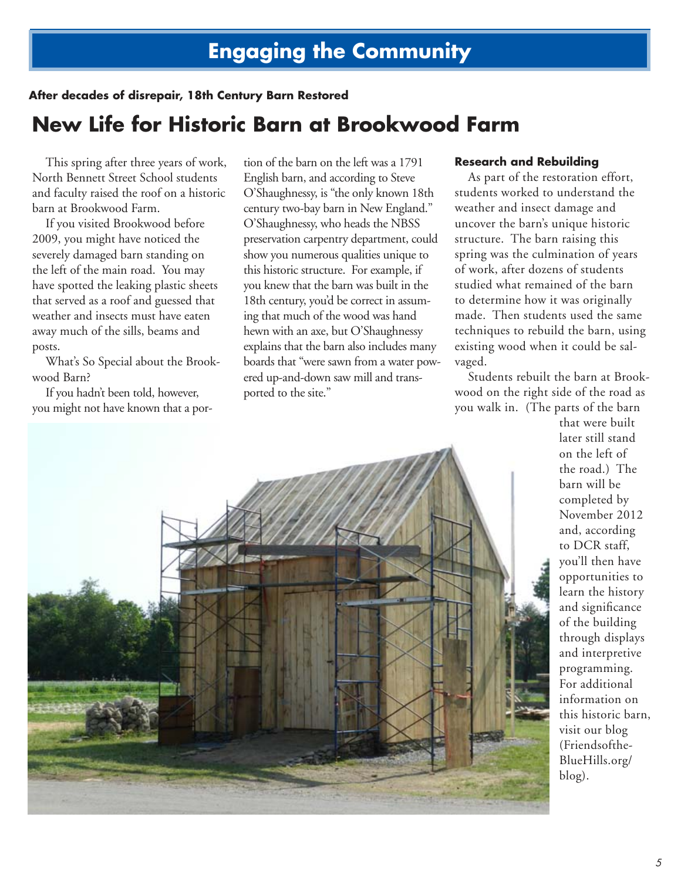#### **After decades of disrepair, 18th Century Barn Restored**

### **New Life for Historic Barn at Brookwood Farm**

This spring after three years of work, North Bennett Street School students and faculty raised the roof on a historic barn at Brookwood Farm.

If you visited Brookwood before 2009, you might have noticed the severely damaged barn standing on the left of the main road. You may have spotted the leaking plastic sheets that served as a roof and guessed that weather and insects must have eaten away much of the sills, beams and posts.

What's So Special about the Brookwood Barn?

If you hadn't been told, however, you might not have known that a por-

tion of the barn on the left was a 1791 English barn, and according to Steve O'Shaughnessy, is "the only known 18th century two-bay barn in New England." O'Shaughnessy, who heads the NBSS preservation carpentry department, could show you numerous qualities unique to this historic structure. For example, if you knew that the barn was built in the 18th century, you'd be correct in assuming that much of the wood was hand hewn with an axe, but O'Shaughnessy explains that the barn also includes many boards that "were sawn from a water powered up-and-down saw mill and transported to the site."

#### **Research and Rebuilding**

As part of the restoration effort, students worked to understand the weather and insect damage and uncover the barn's unique historic structure. The barn raising this spring was the culmination of years of work, after dozens of students studied what remained of the barn to determine how it was originally made. Then students used the same techniques to rebuild the barn, using existing wood when it could be salvaged.

Students rebuilt the barn at Brookwood on the right side of the road as you walk in. (The parts of the barn

that were built later still stand on the left of the road.) The barn will be completed by November 2012 and, according to DCR staff, you'll then have opportunities to learn the history and significance of the building through displays and interpretive programming. For additional information on this historic barn, visit our blog (Friendsofthe-BlueHills.org/ blog).